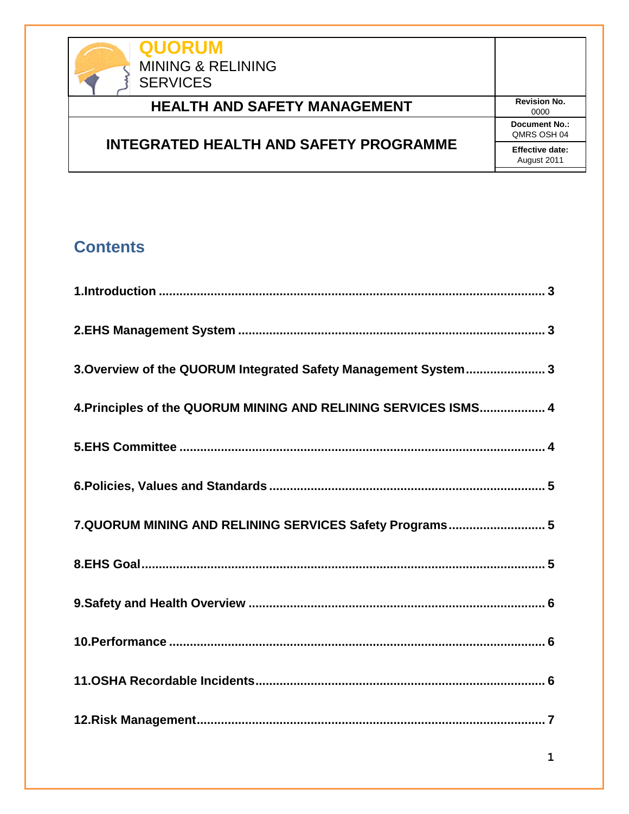

# **INTEGRATED HEALTH AND SAFETY PROGRAMME**

0000 **Document No.:** QMRS OSH 04 **Effective date:** August 2011

# **Contents**

| 3. Overview of the QUORUM Integrated Safety Management System 3 |
|-----------------------------------------------------------------|
| 4. Principles of the QUORUM MINING AND RELINING SERVICES ISMS 4 |
|                                                                 |
|                                                                 |
| 7.QUORUM MINING AND RELINING SERVICES Safety Programs 5         |
|                                                                 |
|                                                                 |
|                                                                 |
|                                                                 |
|                                                                 |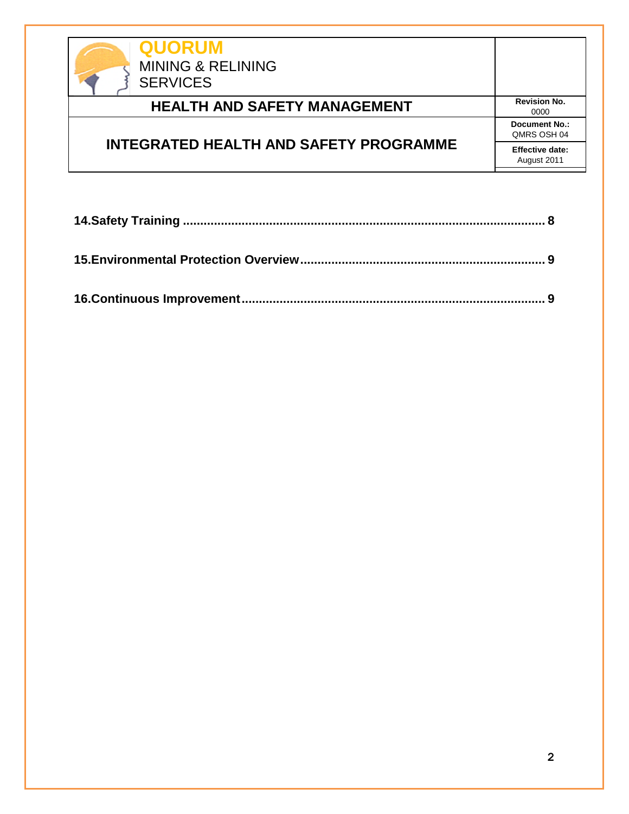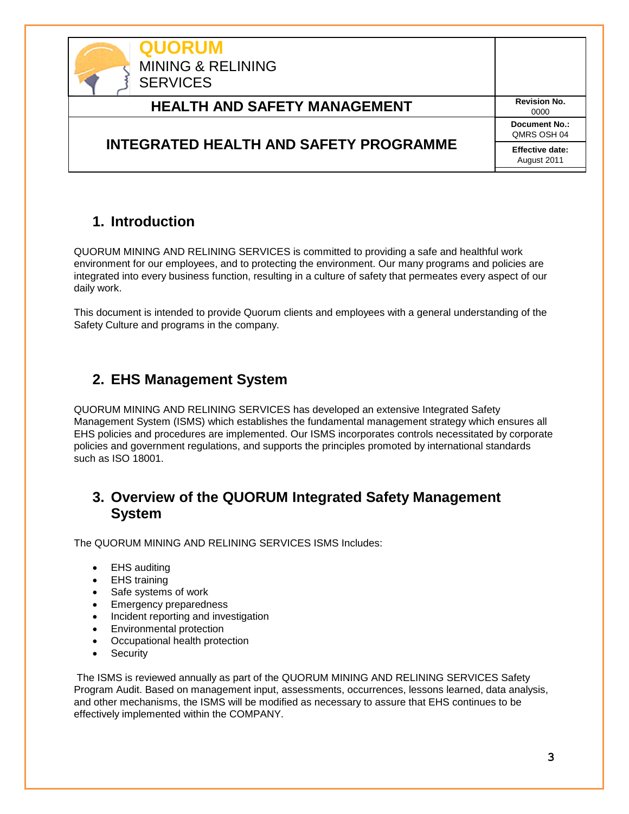

### <span id="page-2-0"></span>**1. Introduction**

QUORUM MINING AND RELINING SERVICES is committed to providing a safe and healthful work environment for our employees, and to protecting the environment. Our many programs and policies are integrated into every business function, resulting in a culture of safety that permeates every aspect of our daily work.

This document is intended to provide Quorum clients and employees with a general understanding of the Safety Culture and programs in the company.

### <span id="page-2-1"></span>**2. EHS Management System**

QUORUM MINING AND RELINING SERVICES has developed an extensive Integrated Safety Management System (ISMS) which establishes the fundamental management strategy which ensures all EHS policies and procedures are implemented. Our ISMS incorporates controls necessitated by corporate policies and government regulations, and supports the principles promoted by international standards such as ISO 18001.

## <span id="page-2-2"></span>**3. Overview of the QUORUM Integrated Safety Management System**

The QUORUM MINING AND RELINING SERVICES ISMS Includes:

- EHS auditing
- EHS training
- Safe systems of work
- Emergency preparedness
- Incident reporting and investigation
- **Environmental protection**
- Occupational health protection
- Security

The ISMS is reviewed annually as part of the QUORUM MINING AND RELINING SERVICES Safety Program Audit. Based on management input, assessments, occurrences, lessons learned, data analysis, and other mechanisms, the ISMS will be modified as necessary to assure that EHS continues to be effectively implemented within the COMPANY.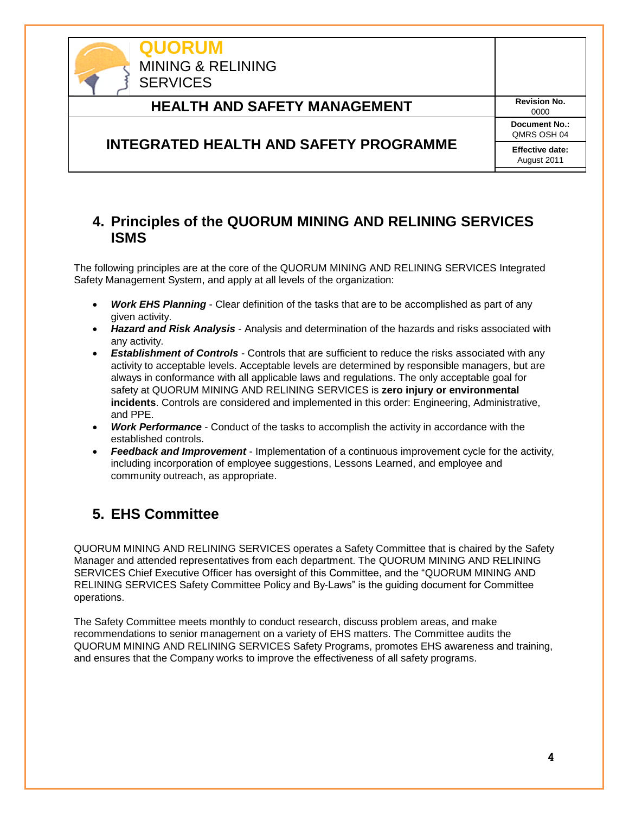

### <span id="page-3-0"></span>**4. Principles of the QUORUM MINING AND RELINING SERVICES ISMS**

The following principles are at the core of the QUORUM MINING AND RELINING SERVICES Integrated Safety Management System, and apply at all levels of the organization:

- *Work EHS Planning* Clear definition of the tasks that are to be accomplished as part of any given activity.
- *Hazard and Risk Analysis* Analysis and determination of the hazards and risks associated with any activity.
- *Establishment of Controls* Controls that are sufficient to reduce the risks associated with any activity to acceptable levels. Acceptable levels are determined by responsible managers, but are always in conformance with all applicable laws and regulations. The only acceptable goal for safety at QUORUM MINING AND RELINING SERVICES is **zero injury or environmental incidents**. Controls are considered and implemented in this order: Engineering, Administrative, and PPE.
- *Work Performance* Conduct of the tasks to accomplish the activity in accordance with the established controls.
- *Feedback and Improvement* Implementation of a continuous improvement cycle for the activity, including incorporation of employee suggestions, Lessons Learned, and employee and community outreach, as appropriate.

# <span id="page-3-1"></span>**5. EHS Committee**

QUORUM MINING AND RELINING SERVICES operates a Safety Committee that is chaired by the Safety Manager and attended representatives from each department. The QUORUM MINING AND RELINING SERVICES Chief Executive Officer has oversight of this Committee, and the "QUORUM MINING AND RELINING SERVICES Safety Committee Policy and By-Laws" is the guiding document for Committee operations.

The Safety Committee meets monthly to conduct research, discuss problem areas, and make recommendations to senior management on a variety of EHS matters. The Committee audits the QUORUM MINING AND RELINING SERVICES Safety Programs, promotes EHS awareness and training, and ensures that the Company works to improve the effectiveness of all safety programs.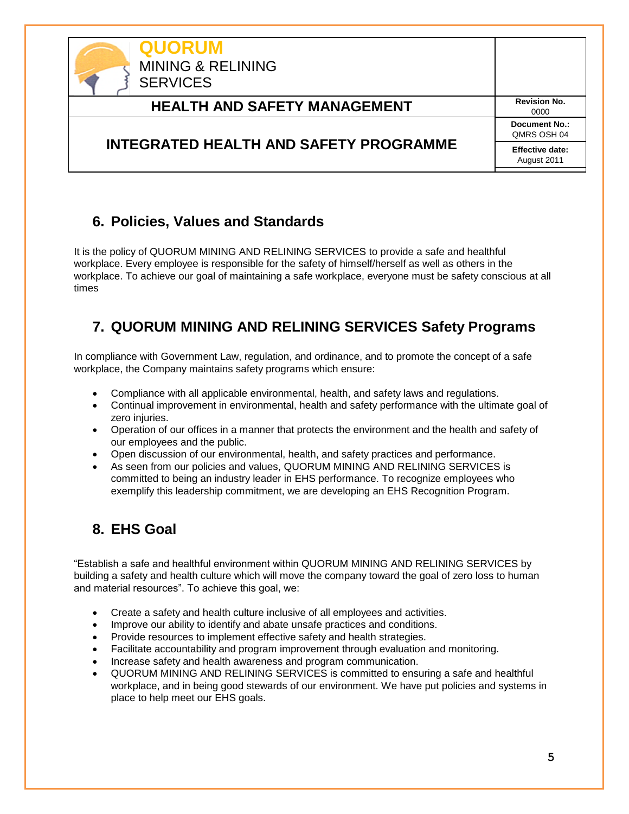

### <span id="page-4-0"></span>**6. Policies, Values and Standards**

It is the policy of QUORUM MINING AND RELINING SERVICES to provide a safe and healthful workplace. Every employee is responsible for the safety of himself/herself as well as others in the workplace. To achieve our goal of maintaining a safe workplace, everyone must be safety conscious at all times

# <span id="page-4-1"></span>**7. QUORUM MINING AND RELINING SERVICES Safety Programs**

In compliance with Government Law, regulation, and ordinance, and to promote the concept of a safe workplace, the Company maintains safety programs which ensure:

- Compliance with all applicable environmental, health, and safety laws and regulations.
- Continual improvement in environmental, health and safety performance with the ultimate goal of zero injuries.
- Operation of our offices in a manner that protects the environment and the health and safety of our employees and the public.
- Open discussion of our environmental, health, and safety practices and performance.
- As seen from our policies and values, QUORUM MINING AND RELINING SERVICES is committed to being an industry leader in EHS performance. To recognize employees who exemplify this leadership commitment, we are developing an EHS Recognition Program.

## <span id="page-4-2"></span>**8. EHS Goal**

"Establish a safe and healthful environment within QUORUM MINING AND RELINING SERVICES by building a safety and health culture which will move the company toward the goal of zero loss to human and material resources". To achieve this goal, we:

- Create a safety and health culture inclusive of all employees and activities.
- Improve our ability to identify and abate unsafe practices and conditions.
- Provide resources to implement effective safety and health strategies.
- Facilitate accountability and program improvement through evaluation and monitoring.
- Increase safety and health awareness and program communication.
- QUORUM MINING AND RELINING SERVICES is committed to ensuring a safe and healthful workplace, and in being good stewards of our environment. We have put policies and systems in place to help meet our EHS goals.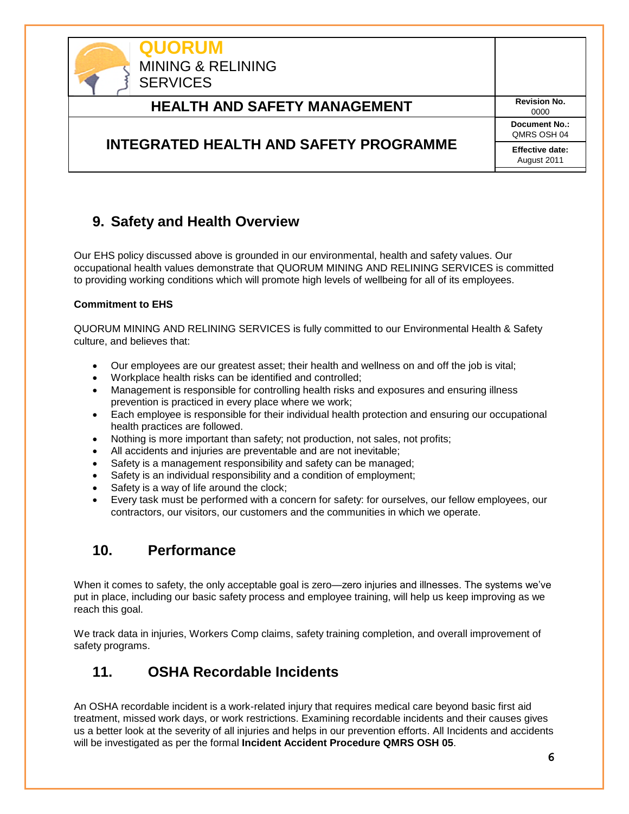

## <span id="page-5-0"></span>**9. Safety and Health Overview**

Our EHS policy discussed above is grounded in our environmental, health and safety values. Our occupational health values demonstrate that QUORUM MINING AND RELINING SERVICES is committed to providing working conditions which will promote high levels of wellbeing for all of its employees.

#### **Commitment to EHS**

QUORUM MINING AND RELINING SERVICES is fully committed to our Environmental Health & Safety culture, and believes that:

- Our employees are our greatest asset; their health and wellness on and off the job is vital;
- Workplace health risks can be identified and controlled;
- Management is responsible for controlling health risks and exposures and ensuring illness prevention is practiced in every place where we work;
- Each employee is responsible for their individual health protection and ensuring our occupational health practices are followed.
- Nothing is more important than safety; not production, not sales, not profits;
- All accidents and injuries are preventable and are not inevitable;
- Safety is a management responsibility and safety can be managed;
- Safety is an individual responsibility and a condition of employment;
- Safety is a way of life around the clock;
- Every task must be performed with a concern for safety: for ourselves, our fellow employees, our contractors, our visitors, our customers and the communities in which we operate.

### <span id="page-5-1"></span>**10. Performance**

When it comes to safety, the only acceptable goal is zero—zero injuries and illnesses. The systems we've put in place, including our basic safety process and employee training, will help us keep improving as we reach this goal.

<span id="page-5-2"></span>We track data in injuries, Workers Comp claims, safety training completion, and overall improvement of safety programs.

### **11. OSHA Recordable Incidents**

An OSHA recordable incident is a work-related injury that requires medical care beyond basic first aid treatment, missed work days, or work restrictions. Examining recordable incidents and their causes gives us a better look at the severity of all injuries and helps in our prevention efforts. All Incidents and accidents will be investigated as per the formal **Incident Accident Procedure QMRS OSH 05**.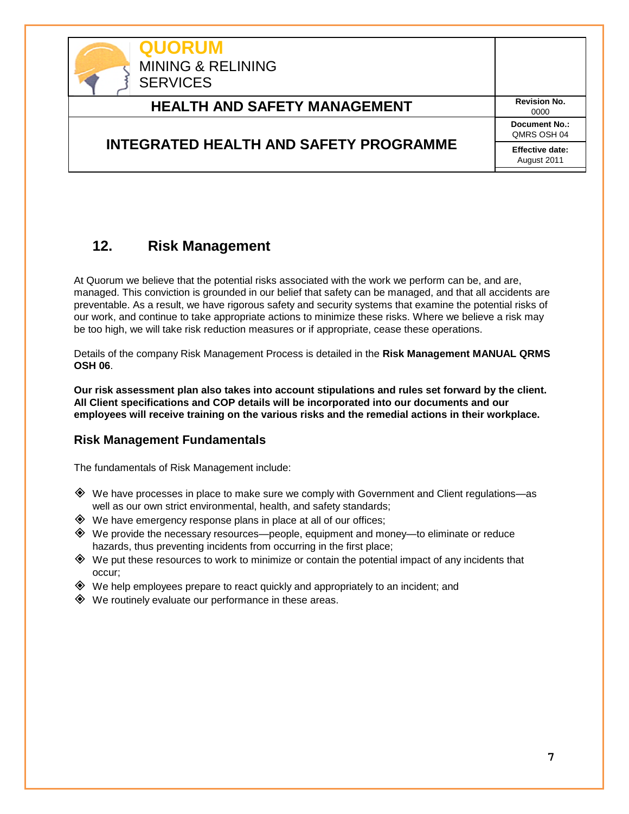

### <span id="page-6-0"></span>**12. Risk Management**

At Quorum we believe that the potential risks associated with the work we perform can be, and are, managed. This conviction is grounded in our belief that safety can be managed, and that all accidents are preventable. As a result, we have rigorous safety and security systems that examine the potential risks of our work, and continue to take appropriate actions to minimize these risks. Where we believe a risk may be too high, we will take risk reduction measures or if appropriate, cease these operations.

Details of the company Risk Management Process is detailed in the **Risk Management MANUAL QRMS OSH 06**.

**Our risk assessment plan also takes into account stipulations and rules set forward by the client. All Client specifications and COP details will be incorporated into our documents and our employees will receive training on the various risks and the remedial actions in their workplace.**

#### **Risk Management Fundamentals**

The fundamentals of Risk Management include:

- We have processes in place to make sure we comply with Government and Client regulations—as well as our own strict environmental, health, and safety standards;
- $\diamondsuit$  We have emergency response plans in place at all of our offices;
- We provide the necessary resources—people, equipment and money—to eliminate or reduce hazards, thus preventing incidents from occurring in the first place;
- $\diamondsuit$  We put these resources to work to minimize or contain the potential impact of any incidents that occur;
- $\diamondsuit$  We help employees prepare to react quickly and appropriately to an incident; and
- $\diamondsuit$  We routinely evaluate our performance in these areas.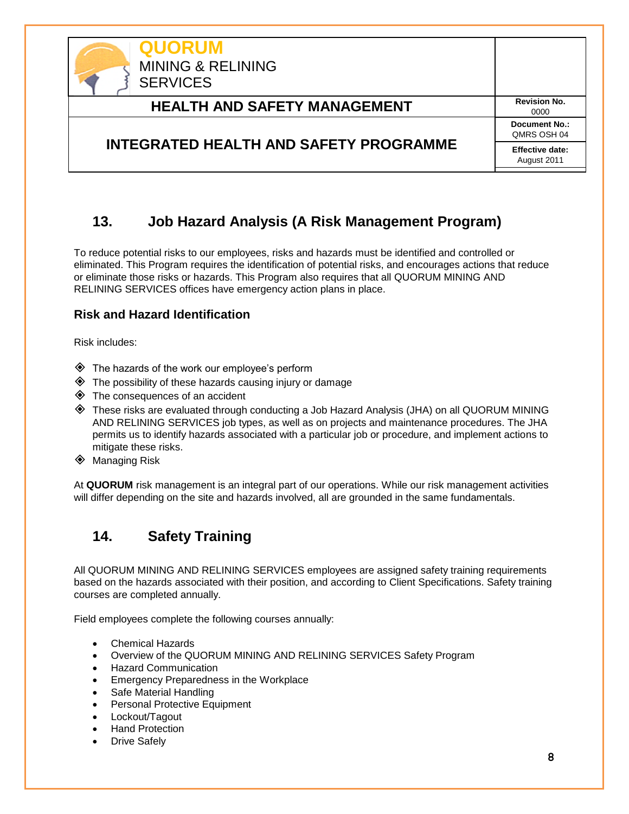

### **13. Job Hazard Analysis (A Risk Management Program)**

To reduce potential risks to our employees, risks and hazards must be identified and controlled or eliminated. This Program requires the identification of potential risks, and encourages actions that reduce or eliminate those risks or hazards. This Program also requires that all QUORUM MINING AND RELINING SERVICES offices have emergency action plans in place.

#### **Risk and Hazard Identification**

Risk includes:

- The hazards of the work our employee's perform
- $\diamondsuit$  The possibility of these hazards causing injury or damage
- The consequences of an accident
- These risks are evaluated through conducting a Job Hazard Analysis (JHA) on all QUORUM MINING AND RELINING SERVICES job types, as well as on projects and maintenance procedures. The JHA permits us to identify hazards associated with a particular job or procedure, and implement actions to mitigate these risks.
- **♦ Managing Risk**

At **QUORUM** risk management is an integral part of our operations. While our risk management activities will differ depending on the site and hazards involved, all are grounded in the same fundamentals.

## <span id="page-7-0"></span>**14. Safety Training**

All QUORUM MINING AND RELINING SERVICES employees are assigned safety training requirements based on the hazards associated with their position, and according to Client Specifications. Safety training courses are completed annually.

Field employees complete the following courses annually:

- Chemical Hazards
- Overview of the QUORUM MINING AND RELINING SERVICES Safety Program
- Hazard Communication
- Emergency Preparedness in the Workplace
- Safe Material Handling
- Personal Protective Equipment
- Lockout/Tagout
- Hand Protection
- Drive Safely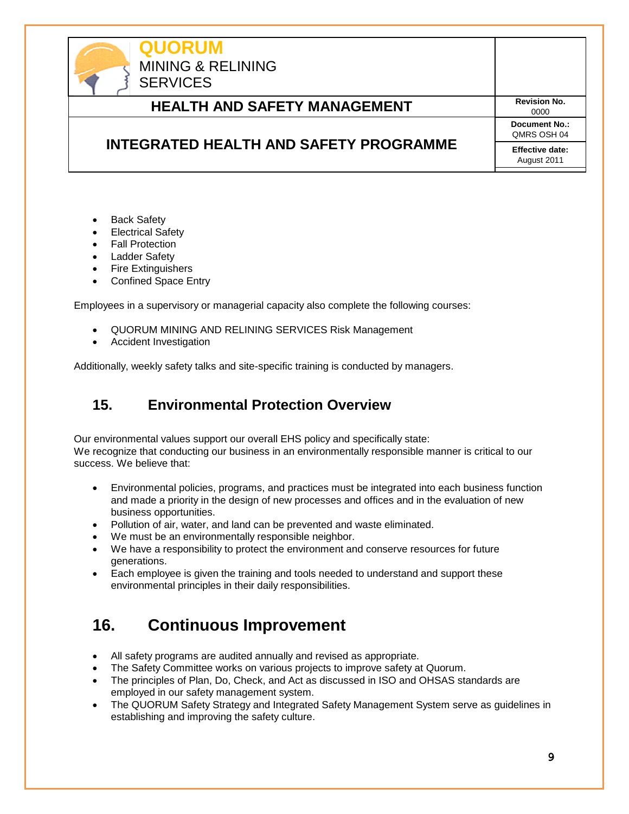

- Back Safety
- Electrical Safety
- Fall Protection
- Ladder Safety
- Fire Extinguishers
- Confined Space Entry

Employees in a supervisory or managerial capacity also complete the following courses:

- QUORUM MINING AND RELINING SERVICES Risk Management
- Accident Investigation

<span id="page-8-0"></span>Additionally, weekly safety talks and site-specific training is conducted by managers.

### **15. Environmental Protection Overview**

Our environmental values support our overall EHS policy and specifically state: We recognize that conducting our business in an environmentally responsible manner is critical to our success. We believe that:

- Environmental policies, programs, and practices must be integrated into each business function and made a priority in the design of new processes and offices and in the evaluation of new business opportunities.
- Pollution of air, water, and land can be prevented and waste eliminated.
- We must be an environmentally responsible neighbor.
- We have a responsibility to protect the environment and conserve resources for future generations.
- Each employee is given the training and tools needed to understand and support these environmental principles in their daily responsibilities.

# <span id="page-8-1"></span>**16. Continuous Improvement**

- All safety programs are audited annually and revised as appropriate.
- The Safety Committee works on various projects to improve safety at Quorum.
- The principles of Plan, Do, Check, and Act as discussed in ISO and OHSAS standards are employed in our safety management system.
- The QUORUM Safety Strategy and Integrated Safety Management System serve as guidelines in establishing and improving the safety culture.